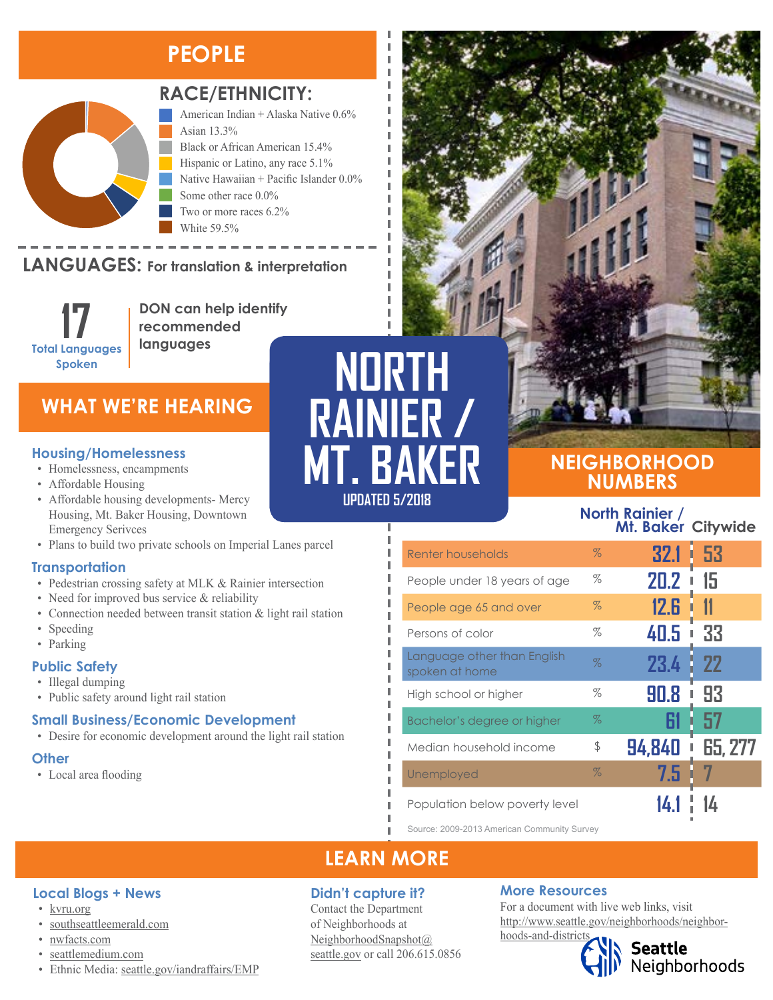# **PEOPLE**



### **RACE/ETHNICITY:**

American Indian + Alaska Native 0.6% Asian 13.3% Black or African American 15.4% Hispanic or Latino, any race 5.1% Native Hawaiian + Pacific Islander 0.0% Some other race 0.0% Two or more races 6.2% White 59.5%

#### **LANGUAGES:** For translation & interpretation Native Hawaiian and Other Pacific Islander Some Other Race

**17 Total Languages Spoken**

**DON can help identify recommended languages**

### **WHAT WE'RE HEARING**

- Homelessness, encampments
- Affordable Housing
- Affordable housing developments- Mercy Housing, Mt. Baker Housing, Downtown Emergency Serivces
- Plans to build two private schools on Imperial Lanes parcel

#### **Transportation**

- Pedestrian crossing safety at MLK & Rainier intersection
- Need for improved bus service & reliability
- Connection needed between transit station & light rail station
- Speeding
- Parking

#### **Public Safety**

- Illegal dumping
- Public safety around light rail station

#### **Small Business/Economic Development**

• Desire for economic development around the light rail station

#### **Other**

• Local area flooding

**UPDATED 8/2017 UPDATED 5/2018NORTH RAINIER / Housing/Homelessness**<br>
• Homelessness, encampments<br>
• Affordable Housing

## **NEIGHBORHOOD NUMBERS**

#### **North Rainier / Mt. Baker Citywide**

| Renter households                             | $\%$ | 32.1   | -53<br>ı  |
|-----------------------------------------------|------|--------|-----------|
| People under 18 years of age                  | %    | 20.2   | 15        |
| People age 65 and over                        | $\%$ | 12.G   |           |
| Persons of color                              | $\%$ | 40.5   | 33<br>I   |
| Language other than English<br>spoken at home | $\%$ | 23.4   | <b>22</b> |
| High school or higher                         | %    | 90.8   | 93        |
| Bachelor's degree or higher                   | $\%$ |        | 57        |
| Median household income                       | \$   | 94,840 | 65, 277   |
| Unemployed                                    | $\%$ | 7.5    |           |
| Population below poverty level                |      |        |           |

Source: 2009-2013 American Community Survey

### **LEARN MORE**

#### **Didn't capture it?**

Contact the Department of Neighborhoods at [NeighborhoodSnapshot@](mailto:NeighborhoodSnapshot%40%0Aseattle.gov?subject=) [seattle.gov](mailto:NeighborhoodSnapshot%40%0Aseattle.gov?subject=) or call 206.615.0856

#### **More Resources**

For a document with live web links, visit [http://www.seattle.gov/neighborhoods/neighbor](http://www.seattle.gov/neighborhoods/neighborhoods-and-districts)[hoods-and-districts](http://www.seattle.gov/neighborhoods/neighborhoods-and-districts)





**Local Blogs + News**

- [kvru.org](http://kvru.org/)
- [southseattleemerald.com](https://southseattleemerald.com/)
- [nwfacts.com](http://www.nwfacts.com/)
- [seattlemedium.com](http://seattlemedium.com/)
- Ethnic Media: [seattle.gov/iandraffairs/EMP](http://www.seattle.gov/iandraffairs/EMP)